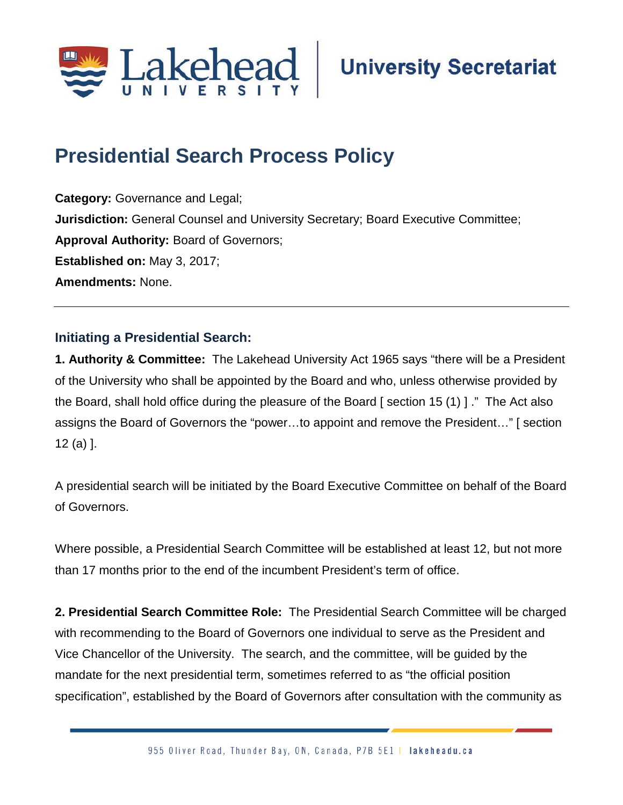

## **Presidential Search Process Policy**

**Category:** Governance and Legal; **Jurisdiction:** General Counsel and University Secretary; Board Executive Committee; **Approval Authority:** Board of Governors; **Established on:** May 3, 2017; **Amendments:** None.

## **Initiating a Presidential Search:**

**1. Authority & Committee:** The Lakehead University Act 1965 says "there will be a President of the University who shall be appointed by the Board and who, unless otherwise provided by the Board, shall hold office during the pleasure of the Board [ section 15 (1) ] ." The Act also assigns the Board of Governors the "power…to appoint and remove the President…" [ section 12 (a) ].

A presidential search will be initiated by the Board Executive Committee on behalf of the Board of Governors.

Where possible, a Presidential Search Committee will be established at least 12, but not more than 17 months prior to the end of the incumbent President's term of office.

**2. Presidential Search Committee Role:** The Presidential Search Committee will be charged with recommending to the Board of Governors one individual to serve as the President and Vice Chancellor of the University. The search, and the committee, will be guided by the mandate for the next presidential term, sometimes referred to as "the official position specification", established by the Board of Governors after consultation with the community as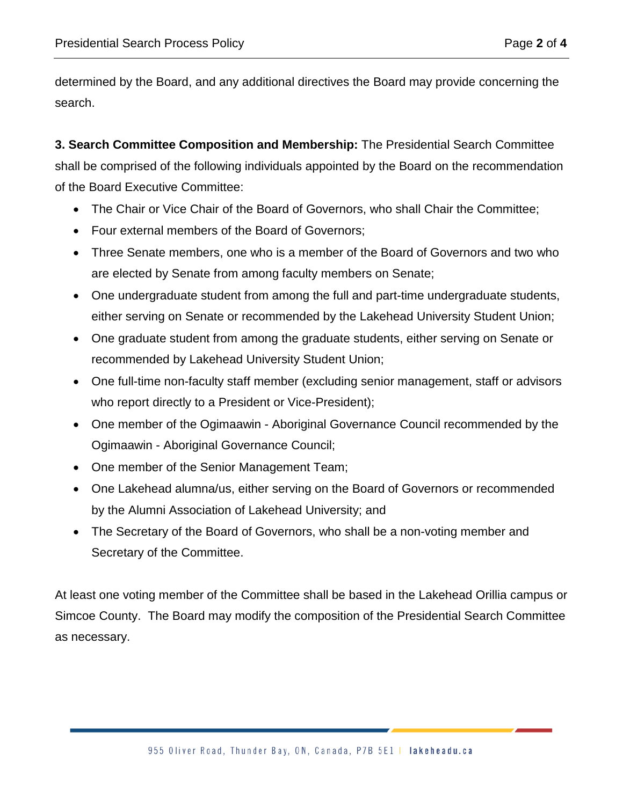determined by the Board, and any additional directives the Board may provide concerning the search.

**3. Search Committee Composition and Membership:** The Presidential Search Committee shall be comprised of the following individuals appointed by the Board on the recommendation of the Board Executive Committee:

- The Chair or Vice Chair of the Board of Governors, who shall Chair the Committee;
- Four external members of the Board of Governors;
- Three Senate members, one who is a member of the Board of Governors and two who are elected by Senate from among faculty members on Senate;
- One undergraduate student from among the full and part-time undergraduate students, either serving on Senate or recommended by the Lakehead University Student Union;
- One graduate student from among the graduate students, either serving on Senate or recommended by Lakehead University Student Union;
- One full-time non-faculty staff member (excluding senior management, staff or advisors who report directly to a President or Vice-President);
- One member of the Ogimaawin Aboriginal Governance Council recommended by the Ogimaawin - Aboriginal Governance Council;
- One member of the Senior Management Team;
- One Lakehead alumna/us, either serving on the Board of Governors or recommended by the Alumni Association of Lakehead University; and
- The Secretary of the Board of Governors, who shall be a non-voting member and Secretary of the Committee.

At least one voting member of the Committee shall be based in the Lakehead Orillia campus or Simcoe County. The Board may modify the composition of the Presidential Search Committee as necessary.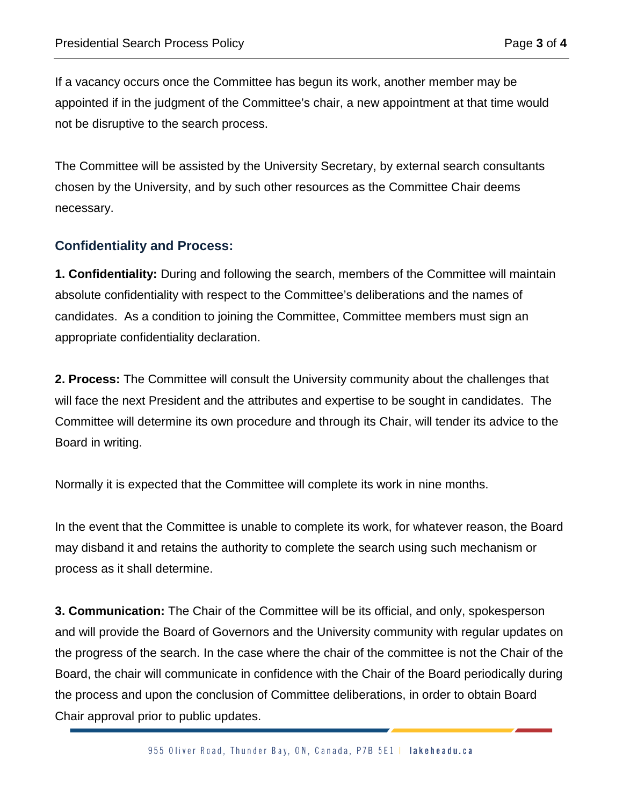If a vacancy occurs once the Committee has begun its work, another member may be appointed if in the judgment of the Committee's chair, a new appointment at that time would not be disruptive to the search process.

The Committee will be assisted by the University Secretary, by external search consultants chosen by the University, and by such other resources as the Committee Chair deems necessary.

## **Confidentiality and Process:**

**1. Confidentiality:** During and following the search, members of the Committee will maintain absolute confidentiality with respect to the Committee's deliberations and the names of candidates. As a condition to joining the Committee, Committee members must sign an appropriate confidentiality declaration.

**2. Process:** The Committee will consult the University community about the challenges that will face the next President and the attributes and expertise to be sought in candidates. The Committee will determine its own procedure and through its Chair, will tender its advice to the Board in writing.

Normally it is expected that the Committee will complete its work in nine months.

In the event that the Committee is unable to complete its work, for whatever reason, the Board may disband it and retains the authority to complete the search using such mechanism or process as it shall determine.

**3. Communication:** The Chair of the Committee will be its official, and only, spokesperson and will provide the Board of Governors and the University community with regular updates on the progress of the search. In the case where the chair of the committee is not the Chair of the Board, the chair will communicate in confidence with the Chair of the Board periodically during the process and upon the conclusion of Committee deliberations, in order to obtain Board Chair approval prior to public updates.